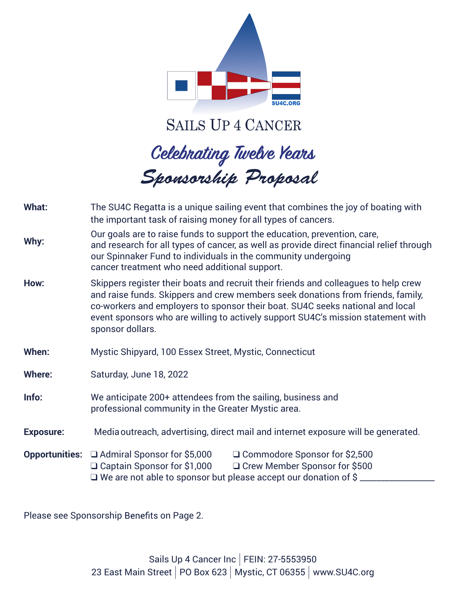

**SAILS UP 4 CANCER** 

# *Sponsorship Proposal*

| What:            | The SU4C Regatta is a unique sailing event that combines the joy of boating with<br>the important task of raising money for all types of cancers.                                                                                                                                                                                                               |  |  |
|------------------|-----------------------------------------------------------------------------------------------------------------------------------------------------------------------------------------------------------------------------------------------------------------------------------------------------------------------------------------------------------------|--|--|
| Why:             | Our goals are to raise funds to support the education, prevention, care,<br>and research for all types of cancer, as well as provide direct financial relief through<br>our Spinnaker Fund to individuals in the community undergoing<br>cancer treatment who need additional support.                                                                          |  |  |
| How:             | Skippers register their boats and recruit their friends and colleagues to help crew<br>and raise funds. Skippers and crew members seek donations from friends, family,<br>co-workers and employers to sponsor their boat. SU4C seeks national and local<br>event sponsors who are willing to actively support SU4C's mission statement with<br>sponsor dollars. |  |  |
| When:            | Mystic Shipyard, 100 Essex Street, Mystic, Connecticut                                                                                                                                                                                                                                                                                                          |  |  |
| <b>Where:</b>    | Saturday, June 18, 2022                                                                                                                                                                                                                                                                                                                                         |  |  |
| Info:            | We anticipate 200+ attendees from the sailing, business and<br>professional community in the Greater Mystic area.                                                                                                                                                                                                                                               |  |  |
| <b>Exposure:</b> | Media outreach, advertising, direct mail and internet exposure will be generated.                                                                                                                                                                                                                                                                               |  |  |
|                  | <b>Opportunities:</b> □ Admiral Sponsor for \$5,000<br>□ Commodore Sponsor for \$2,500<br>□ Crew Member Sponsor for \$500<br>$\Box$ Captain Sponsor for \$1,000<br>$\Box$ We are not able to sponsor but please accept our donation of \$                                                                                                                       |  |  |

Please see Sponsorship Benefits on Page 2.